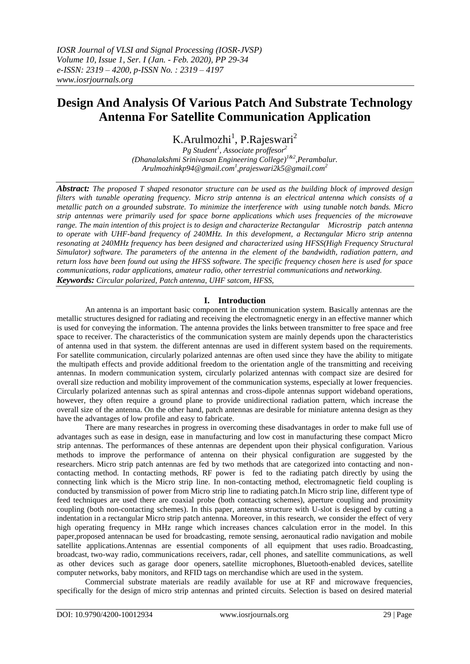# **Design And Analysis Of Various Patch And Substrate Technology Antenna For Satellite Communication Application**

K.Arulmozhi<sup>1</sup>, P.Rajeswari<sup>2</sup>

*Pg Student<sup>1</sup> , Associate proffesor<sup>2</sup> (Dhanalakshmi Srinivasan Engineering College) 1&2 ,Perambalur. Arulmozhinkp94@gmail.com 1 ,prajeswari2k5@gmail.com<sup>2</sup>*

*Abstract: The proposed T shaped resonator structure can be used as the building block of improved design filters with tunable operating frequency. Micro strip antenna is an electrical antenna which consists of a metallic patch on a grounded substrate. To minimize the interference with using tunable notch bands. Micro strip antennas were primarily used for space borne applications which uses frequencies of the microwave range. The main intention of this project is to design and characterize Rectangular Microstrip patch antenna to operate with UHF-band frequency of 240MHz. In this development, a Rectangular Micro strip antenna resonating at 240MHz frequency has been designed and characterized using HFSS(High Frequency Structural Simulator) software. The parameters of the antenna in the element of the bandwidth, radiation pattern, and return loss have been found out using the HFSS software. The specific frequency chosen here is used for space communications, radar applications, amateur radio, other terrestrial communications and networking. Keywords: Circular polarized, Patch antenna, UHF satcom, HFSS,*

### **I. Introduction**

An antenna is an important basic component in the communication system. Basically antennas are the metallic structures designed for radiating and receiving the electromagnetic energy in an effective manner which is used for conveying the information. The antenna provides the links between transmitter to free space and free space to receiver. The characteristics of the communication system are mainly depends upon the characteristics of antenna used in that system. the different antennas are used in different system based on the requirements. For satellite communication, circularly polarized antennas are often used since they have the ability to mitigate the multipath effects and provide additional freedom to the orientation angle of the transmitting and receiving antennas. In modern communication system, circularly polarized antennas with compact size are desired for overall size reduction and mobility improvement of the communication systems, especially at lower frequencies. Circularly polarized antennas such as spiral antennas and cross-dipole antennas support wideband operations, however, they often require a ground plane to provide unidirectional radiation pattern, which increase the overall size of the antenna. On the other hand, patch antennas are desirable for miniature antenna design as they have the advantages of low profile and easy to fabricate.

There are many researches in progress in overcoming these disadvantages in order to make full use of advantages such as ease in design, ease in manufacturing and low cost in manufacturing these compact Micro strip antennas. The performances of these antennas are dependent upon their physical configuration. Various methods to improve the performance of antenna on their physical configuration are suggested by the researchers. Micro strip patch antennas are fed by two methods that are categorized into contacting and noncontacting method. In contacting methods, RF power is fed to the radiating patch directly by using the connecting link which is the Micro strip line. In non-contacting method, electromagnetic field coupling is conducted by transmission of power from Micro strip line to radiating patch.In Micro strip line, different type of feed techniques are used there are coaxial probe (both contacting schemes), aperture coupling and proximity coupling (both non-contacting schemes). In this paper, antenna structure with U-slot is designed by cutting a indentation in a rectangular Micro strip patch antenna. Moreover, in this research, we consider the effect of very high operating frequency in MHz range which increases chances calculation error in the model. In this paper,proposed antennacan be used for broadcasting, remote sensing, aeronautical radio navigation and mobile satellite applications.Antennas are essential components of all equipment that uses [radio.](https://en.wikipedia.org/wiki/Radio) Broadcasting, broadcast, [two-way radio,](https://en.wikipedia.org/wiki/Two-way_radio) [communications receivers,](https://en.wikipedia.org/wiki/Communications_receiver) [radar,](https://en.wikipedia.org/wiki/Radar) [cell phones,](https://en.wikipedia.org/wiki/Cell_phone) and [satellite communications,](https://en.wikipedia.org/wiki/Satellite_communications) as well as other devices such as [garage door openers,](https://en.wikipedia.org/wiki/Garage_door_opener) [satellite microphones,](https://en.wikipedia.org/wiki/Wireless_microphone) [Bluetooth-](https://en.wikipedia.org/wiki/Bluetooth)enabled devices, [satellite](https://en.wikipedia.org/wiki/Wireless_LAN)  [computer networks,](https://en.wikipedia.org/wiki/Wireless_LAN) [baby monitors,](https://en.wikipedia.org/wiki/Baby_monitor) and [RFID tags](https://en.wikipedia.org/wiki/RFID_tag) on merchandise which are used in the system.

Commercial substrate materials are readily available for use at RF and microwave frequencies, specifically for the design of micro strip antennas and printed circuits. Selection is based on desired material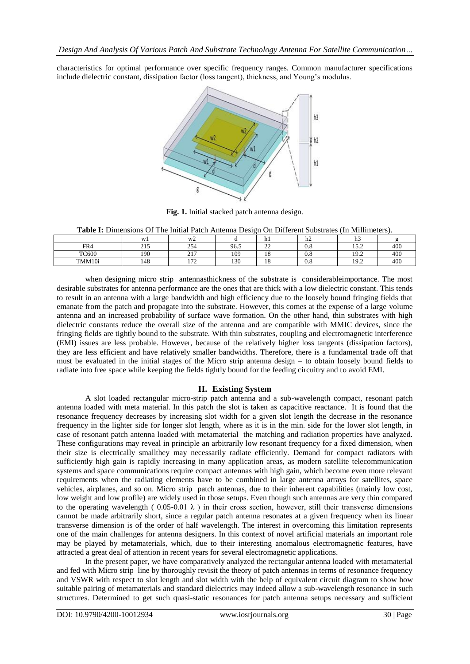characteristics for optimal performance over specific frequency ranges. Common manufacturer specifications include dielectric constant, dissipation factor (loss tangent), thickness, and Young's modulus.



**Fig. 1.** Initial stacked patch antenna design.

**Table I:** Dimensions Of The Initial Patch Antenna Design On Different Substrates (In Millimeters).

|              | W1          | W <sup>2</sup>                   |              |                | 1.7<br>n2 | -<br>шэ                         |     |
|--------------|-------------|----------------------------------|--------------|----------------|-----------|---------------------------------|-----|
| FR4          | 015<br>ں ہے | 254                              | 96.5         | $\sim$<br>--   | $_{0.8}$  | $\sim$ $\sim$<br>$\overline{1}$ | 400 |
| <b>TC600</b> | 190         | 217                              | 109          | $\Omega$<br>10 | $_{0.8}$  | 10 <sub>2</sub><br>17.L         | 400 |
| TMM10i       | 148         | 1.72<br>$\overline{\phantom{0}}$ | 130<br>1 J V | ıΩ<br>18       | 0.8       | 10 <sub>2</sub><br>17.Z         | 400 |

when designing micro strip antennasthickness of the substrate is considerableimportance. The most desirable substrates for antenna performance are the ones that are thick with a low dielectric constant. This tends to result in an antenna with a large bandwidth and high efficiency due to the loosely bound fringing fields that emanate from the patch and propagate into the substrate. However, this comes at the expense of a large volume antenna and an increased probability of surface wave formation. On the other hand, thin substrates with high dielectric constants reduce the overall size of the antenna and are compatible with MMIC devices, since the fringing fields are tightly bound to the substrate. With thin substrates, coupling and electromagnetic interference (EMI) issues are less probable. However, because of the relatively higher loss tangents (dissipation factors), they are less efficient and have relatively smaller bandwidths. Therefore, there is a fundamental trade off that must be evaluated in the initial stages of the Micro strip antenna design – to obtain loosely bound fields to radiate into free space while keeping the fields tightly bound for the feeding circuitry and to avoid EMI.

## **II. Existing System**

A slot loaded rectangular micro-strip patch antenna and a sub-wavelength compact, resonant patch antenna loaded with meta material. In this patch the slot is taken as capacitive reactance. It is found that the resonance frequency decreases by increasing slot width for a given slot length the decrease in the resonance frequency in the lighter side for longer slot length, where as it is in the min. side for the lower slot length, in case of resonant patch antenna loaded with metamaterial the matching and radiation properties have analyzed. These configurations may reveal in principle an arbitrarily low resonant frequency for a fixed dimension, when their size is electrically smallthey may necessarily radiate efficiently. Demand for compact radiators with sufficiently high gain is rapidly increasing in many application areas, as modern satellite telecommunication systems and space communications require compact antennas with high gain, which become even more relevant requirements when the radiating elements have to be combined in large antenna arrays for satellites, space vehicles, airplanes, and so on. Micro strip patch antennas, due to their inherent capabilities (mainly low cost, low weight and low profile) are widely used in those setups. Even though such antennas are very thin compared to the operating wavelength (  $0.05-0.01 \lambda$  ) in their cross section, however, still their transverse dimensions cannot be made arbitrarily short, since a regular patch antenna resonates at a given frequency when its linear transverse dimension is of the order of half wavelength. The interest in overcoming this limitation represents one of the main challenges for antenna designers. In this context of novel artificial materials an important role may be played by metamaterials, which, due to their interesting anomalous electromagnetic features, have attracted a great deal of attention in recent years for several electromagnetic applications.

In the present paper, we have comparatively analyzed the rectangular antenna loaded with metamaterial and fed with Micro strip line by thoroughly revisit the theory of patch antennas in terms of resonance frequency and VSWR with respect to slot length and slot width with the help of equivalent circuit diagram to show how suitable pairing of metamaterials and standard dielectrics may indeed allow a sub-wavelength resonance in such structures. Determined to get such quasi-static resonances for patch antenna setups necessary and sufficient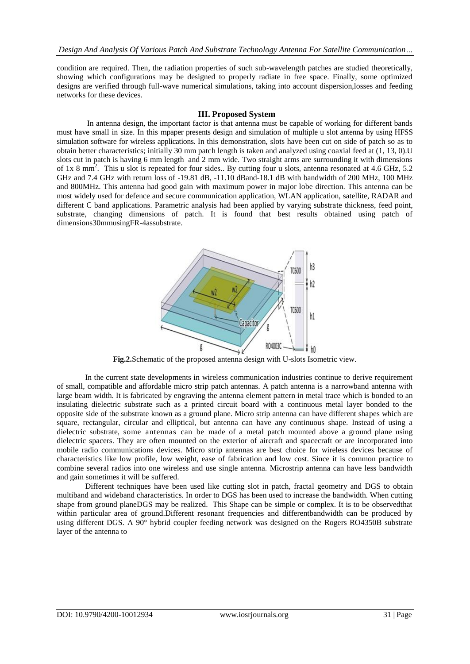condition are required. Then, the radiation properties of such sub-wavelength patches are studied theoretically, showing which configurations may be designed to properly radiate in free space. Finally, some optimized designs are verified through full-wave numerical simulations, taking into account dispersion,losses and feeding networks for these devices.

#### **III. Proposed System**

In antenna design, the [important factor is that antenna must be capable of working for different bands](https://www.ijert.org/)  must have small in size. In this [mpaper presents design and simulation of multiple u slot antenna by using HFSS](https://www.ijert.org/)  simulation software [for wireless applications. In this demonstration, slots have been cut on side of patch so as to](https://www.ijert.org/)  [obtain better characteristics; initially 30 mm patch length is taken and analyzed using coaxial feed at \(1, 13, 0\).U](https://www.ijert.org/)  [slots cut in patch is having 6 mm length and 2 mm wide. Two straight arms are surrounding it with dimensions](https://www.ijert.org/)  of 1x 8 mm<sup>2</sup>[. This u slot is repeated for four](https://www.ijert.org/) sides.. By cutting four u slots, antenna resonated at 4.6 GHz, 5.2 GHz and 7.4 GHz with return loss of -19.81 dB, -11.10 dBan[d-18.1 dB with bandwidth of 200 MHz, 100 MHz](https://www.ijert.org/)  [and 800MHz. This antenna had good gain with maximum power in major lobe direction. This antenna can be](https://www.ijert.org/)  [most widely used for defence and secure communication application, WLAN application, satellite, RADAR and](https://www.ijert.org/)  [different C band applications. Parametric analysis had been applied by varying substrate thickness, feed point,](https://www.ijert.org/)  [substrate, changing dimensions of patch. It is found that best results obtained using patch of](https://www.ijert.org/)  [dimensions30mmusingFR-4assubstrate.](https://www.ijert.org/)



**Fig.2.**Schematic of the proposed antenna design with U-slots Isometric view.

In the current state developments in wireless communication industries continue to derive requirement of small, compatible and affordable micro strip patch antennas. A patch antenna is a narrowband antenna with large beam width. It is fabricated by engraving the antenna element pattern in metal trace which is bonded to an insulating dielectric substrate such as a printed circuit board with a continuous metal layer bonded to the opposite side of the substrate known as a ground plane. Micro strip antenna can have different shapes which are square, rectangular, circular and elliptical, but antenna can have any continuous shape. Instead of using a dielectric substrate, some antennas can be made of a metal patch mounted above a ground plane using dielectric spacers. They are often mounted on the exterior of aircraft and spacecraft or are incorporated into mobile radio communications devices. Micro strip antennas are best choice for wireless devices because of characteristics like low profile, low weight, ease of fabrication and low cost. Since it is common practice to combine several radios into one wireless and use single antenna. Microstrip antenna can have less bandwidth and gain sometimes it will be suffered.

Different techniques have been used like cutting slot in patch, fractal geometry and DGS to obtain multiband and wideband characteristics. In order to DGS has been used to increase the bandwidth. When cutting shape from ground planeDGS may be realized. This Shape can be simple or complex. It is to be observedthat within particular area of ground.Different resonant frequencies and differentbandwidth can be produced by using different DGS. A 90° hybrid coupler feeding network was designed on the Rogers RO4350B substrate layer of the antenna to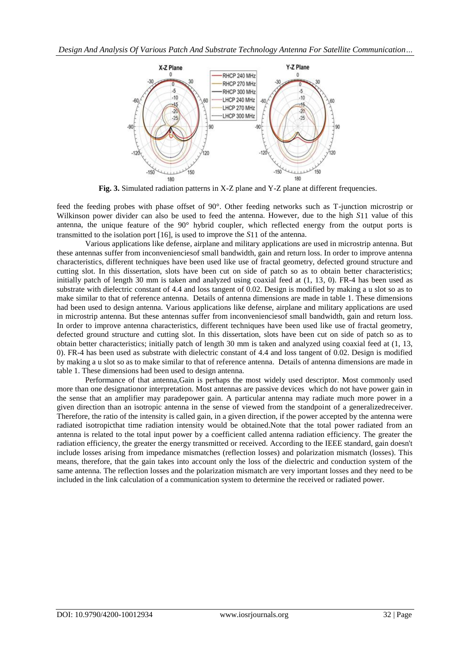

**Fig. 3.** Simulated radiation patterns in X-Z plane and Y-Z plane at different frequencies.

feed the feeding probes with phase offset of 90°. Other feeding networks such as T-junction microstrip or Wilkinson power divider can also be used to feed the antenna. However, due to the high *S*11 value of this antenna, the unique feature of the 90° hybrid coupler, which reflected energy from the output ports is transmitted to the isolation port [16], is used to improve the *S*11 of the antenna.

[Various applications like defense, airplane and military applications are used in microstrip antenna. But](https://www.ijert.org/)  [these antennas suffer from inconvenienciesof small bandwidth, gain and return loss. In order to improve antenna](https://www.ijert.org/)  characteristics, different techniques have been used [like use of fractal geometry, defected ground structure and](https://www.ijert.org/)  [cutting slot. In this dissertation, slots have been cut on side of patch so as to obtain better characteristics;](https://www.ijert.org/)  [initially patch of length 30 mm is taken and analyzed using coaxial feed at \(1, 13, 0\). FR-4 has been used as](https://www.ijert.org/)  [substrate with dielectric constant of 4.4 and loss tangent of 0.02. Design is modified by making a u slot so as to](https://www.ijert.org/)  [make similar to that of reference antenna. Details of antenna dimensions are made in table 1. These dimensions](https://www.ijert.org/)  [had been used to design antenna.](https://www.ijert.org/) [Various applications like defense, airplane and military applications are used](https://www.ijert.org/)  [in microstrip antenna. But these antennas suffer from inconvenienciesof small bandwidth, gain and return loss.](https://www.ijert.org/)  [In order to improve antenna characteristics, different techniques have been used like use of fractal geometry,](https://www.ijert.org/)  [defected ground structure and cutting slot. In this dissertation, slots have been cut on side of patch so as to](https://www.ijert.org/)  [obtain better characteristics; initially patch of length 30 mm is taken and analyzed using coaxial feed at \(1, 13,](https://www.ijert.org/)  [0\). FR-4 has been used as substrate with dielectric constant of 4.4 and loss tangent of 0.02. Design is modified](https://www.ijert.org/)  [by making a u slot so as to make similar to that of reference antenna. Details of antenna dimensions are made in](https://www.ijert.org/)  [table 1. These dimensions had been used to design antenna.](https://www.ijert.org/)

Performance of that antenna,Gain is perhaps the most widely used descriptor. Most commonly used more than one designationor interpretation. Most antennas are passive devices which do not have power gain in the sense that an amplifier may paradepower gain. A particular antenna may radiate much more power in a given direction than an isotropic antenna in the sense of viewed from the standpoint of a generalizedreceiver. Therefore, the ratio of the intensity is called gain, in a given direction, if the power accepted by the antenna were radiated isotropicthat time radiation intensity would be obtained.Note that the total power radiated from an antenna is related to the total input power by a coefficient called antenna radiation efficiency. The greater the radiation efficiency, the greater the energy transmitted or received. According to the IEEE standard, gain doesn't include losses arising from impedance mismatches (reflection losses) and polarization mismatch (losses). This means, therefore, that the gain takes into account only the loss of the dielectric and conduction system of the same antenna. The reflection losses and the polarization mismatch are very important losses and they need to be included in the link calculation of a communication system to determine the received or radiated power.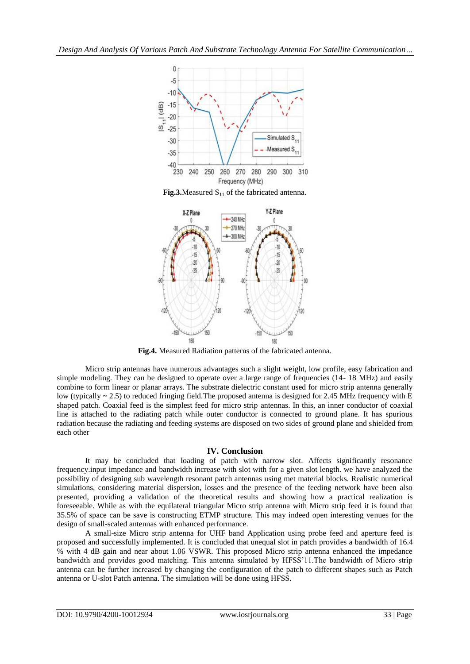

**Fig.3.**Measured  $S<sub>11</sub>$  of the fabricated antenna.



**Fig.4.** Measured Radiation patterns of the fabricated antenna.

Micro strip antennas have numerous advantages such a slight weight, low profile, easy fabrication and simple modeling. They can be designed to operate over a large range of frequencies (14-18 MHz) and easily combine to form linear or planar arrays. The substrate dielectric constant used for micro strip antenna generally low (typically  $\sim$  2.5) to reduced fringing field. The proposed antenna is designed for 2.45 MHz frequency with E shaped patch. Coaxial feed is the simplest feed for micro strip antennas. In this, an inner conductor of coaxial line is attached to the radiating patch while outer conductor is connected to ground plane. It has spurious radiation because the radiating and feeding systems are disposed on two sides of ground plane and shielded from each other

### **IV. Conclusion**

It may be concluded that loading of patch with narrow slot. Affects significantly resonance frequency.input impedance and bandwidth increase with slot with for a given slot length. we have analyzed the possibility of designing sub wavelength resonant patch antennas using met material blocks. Realistic numerical simulations, considering material dispersion, losses and the presence of the feeding network have been also presented, providing a validation of the theoretical results and showing how a practical realization is foreseeable. While as with the equilateral triangular Micro strip antenna with Micro strip feed it is found that 35.5% of space can be save is constructing ETMP structure. This may indeed open interesting venues for the design of small-scaled antennas with enhanced performance.

A small-size Micro strip antenna for UHF band Application using probe feed and aperture feed is proposed and successfully implemented. It is concluded that unequal slot in patch provides a bandwidth of 16.4 % with 4 dB gain and near about 1.06 VSWR. This proposed Micro strip antenna enhanced the impedance bandwidth and provides good matching. This antenna simulated by HFSS'11.The bandwidth of Micro strip antenna can be further increased by changing the configuration of the patch to different shapes such as Patch antenna or U-slot Patch antenna. The simulation will be done using HFSS.